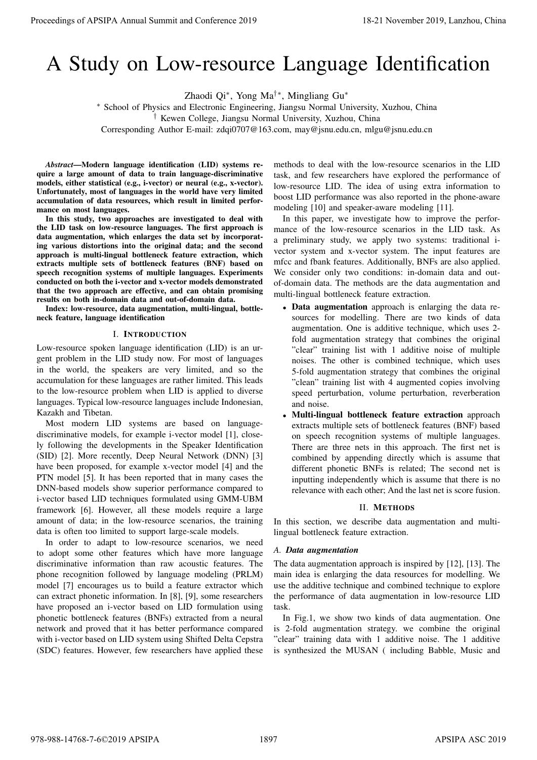# A Study on Low-resource Language Identification

Zhaodi Qi<sup>∗</sup> , Yong Ma†∗, Mingliang Gu<sup>∗</sup>

<sup>∗</sup> School of Physics and Electronic Engineering, Jiangsu Normal University, Xuzhou, China

† Kewen College, Jiangsu Normal University, Xuzhou, China

Corresponding Author E-mail: zdqi0707@163.com, may@jsnu.edu.cn, mlgu@jsnu.edu.cn

*Abstract*—Modern language identification (LID) systems require a large amount of data to train language-discriminative models, either statistical (e.g., i-vector) or neural (e.g., x-vector). Unfortunately, most of languages in the world have very limited accumulation of data resources, which result in limited performance on most languages.

In this study, two approaches are investigated to deal with the LID task on low-resource languages. The first approach is data augmentation, which enlarges the data set by incorporating various distortions into the original data; and the second approach is multi-lingual bottleneck feature extraction, which extracts multiple sets of bottleneck features (BNF) based on speech recognition systems of multiple languages. Experiments conducted on both the i-vector and x-vector models demonstrated that the two approach are effective, and can obtain promising results on both in-domain data and out-of-domain data.

Index: low-resource, data augmentation, multi-lingual, bottleneck feature, language identification

## I. INTRODUCTION

Low-resource spoken language identification (LID) is an urgent problem in the LID study now. For most of languages in the world, the speakers are very limited, and so the accumulation for these languages are rather limited. This leads to the low-resource problem when LID is applied to diverse languages. Typical low-resource languages include Indonesian, Kazakh and Tibetan.

Most modern LID systems are based on languagediscriminative models, for example i-vector model [1], closely following the developments in the Speaker Identification (SID) [2]. More recently, Deep Neural Network (DNN) [3] have been proposed, for example x-vector model [4] and the PTN model [5]. It has been reported that in many cases the DNN-based models show superior performance compared to i-vector based LID techniques formulated using GMM-UBM framework [6]. However, all these models require a large amount of data; in the low-resource scenarios, the training data is often too limited to support large-scale models. Procedure of APSIPA Annual Summit and Conference 2019<br>
A Study on Low Tessorial Summit and Conference 2019<br>
Shart of Proposition Summit and Conference 2019<br>
Shart of Proposition Summit and Conference 2019<br>
Convention Summ

In order to adapt to low-resource scenarios, we need to adopt some other features which have more language discriminative information than raw acoustic features. The phone recognition followed by language modeling (PRLM) model [7] encourages us to build a feature extractor which can extract phonetic information. In [8], [9], some researchers have proposed an i-vector based on LID formulation using phonetic bottleneck features (BNFs) extracted from a neural network and proved that it has better performance compared with i-vector based on LID system using Shifted Delta Cepstra (SDC) features. However, few researchers have applied these

methods to deal with the low-resource scenarios in the LID task, and few researchers have explored the performance of low-resource LID. The idea of using extra information to boost LID performance was also reported in the phone-aware modeling [10] and speaker-aware modeling [11].

In this paper, we investigate how to improve the performance of the low-resource scenarios in the LID task. As a preliminary study, we apply two systems: traditional ivector system and x-vector system. The input features are mfcc and fbank features. Additionally, BNFs are also applied. We consider only two conditions: in-domain data and outof-domain data. The methods are the data augmentation and multi-lingual bottleneck feature extraction.

- Data augmentation approach is enlarging the data resources for modelling. There are two kinds of data augmentation. One is additive technique, which uses 2 fold augmentation strategy that combines the original "clear" training list with 1 additive noise of multiple noises. The other is combined technique, which uses 5-fold augmentation strategy that combines the original "clean" training list with 4 augmented copies involving speed perturbation, volume perturbation, reverberation and noise.
- Multi-lingual bottleneck feature extraction approach extracts multiple sets of bottleneck features (BNF) based on speech recognition systems of multiple languages. There are three nets in this approach. The first net is combined by appending directly which is assume that different phonetic BNFs is related; The second net is inputting independently which is assume that there is no relevance with each other; And the last net is score fusion.

## II. METHODS

In this section, we describe data augmentation and multilingual bottleneck feature extraction.

## *A. Data augmentation*

The data augmentation approach is inspired by [12], [13]. The main idea is enlarging the data resources for modelling. We use the additive technique and combined technique to explore the performance of data augmentation in low-resource LID task.

In Fig.1, we show two kinds of data augmentation. One is 2-fold augmentation strategy. we combine the original "clear" training data with 1 additive noise. The 1 additive is synthesized the MUSAN ( including Babble, Music and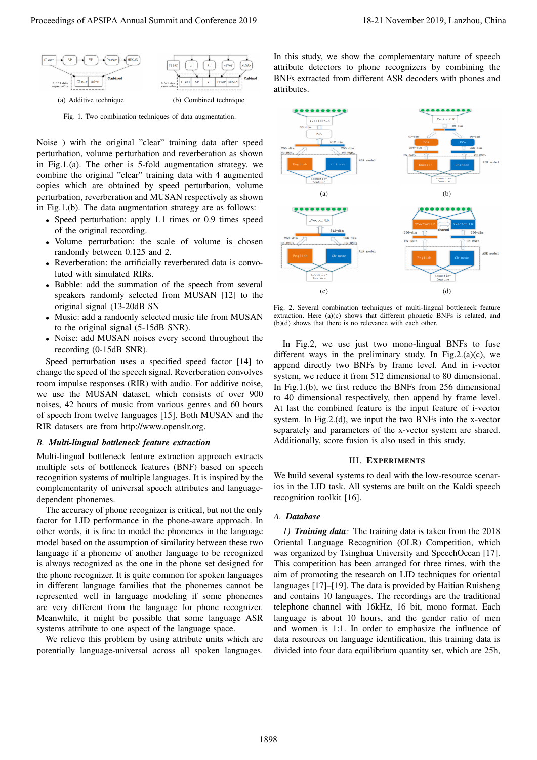

Fig. 1. Two combination techniques of data augmentation.

Noise ) with the original "clear" training data after speed perturbation, volume perturbation and reverberation as shown in Fig.1.(a). The other is 5-fold augmentation strategy. we combine the original "clear" training data with 4 augmented copies which are obtained by speed perturbation, volume perturbation, reverberation and MUSAN respectively as shown in Fig.1.(b). The data augmentation strategy are as follows:

- Speed perturbation: apply 1.1 times or 0.9 times speed of the original recording.
- Volume perturbation: the scale of volume is chosen randomly between 0.125 and 2.
- Reverberation: the artificially reverberated data is convoluted with simulated RIRs.
- Babble: add the summation of the speech from several speakers randomly selected from MUSAN [12] to the original signal (13-20dB SN
- Music: add a randomly selected music file from MUSAN to the original signal (5-15dB SNR).
- Noise: add MUSAN noises every second throughout the recording (0-15dB SNR).

Speed perturbation uses a specified speed factor [14] to change the speed of the speech signal. Reverberation convolves room impulse responses (RIR) with audio. For additive noise, we use the MUSAN dataset, which consists of over 900 noises, 42 hours of music from various genres and 60 hours of speech from twelve languages [15]. Both MUSAN and the RIR datasets are from http://www.openslr.org.

## *B. Multi-lingual bottleneck feature extraction*

Multi-lingual bottleneck feature extraction approach extracts multiple sets of bottleneck features (BNF) based on speech recognition systems of multiple languages. It is inspired by the complementarity of universal speech attributes and languagedependent phonemes.

The accuracy of phone recognizer is critical, but not the only factor for LID performance in the phone-aware approach. In other words, it is fine to model the phonemes in the language model based on the assumption of similarity between these two language if a phoneme of another language to be recognized is always recognized as the one in the phone set designed for the phone recognizer. It is quite common for spoken languages in different language families that the phonemes cannot be represented well in language modeling if some phonemes are very different from the language for phone recognizer. Meanwhile, it might be possible that some language ASR systems attribute to one aspect of the language space.

We relieve this problem by using attribute units which are potentially language-universal across all spoken languages.

In this study, we show the complementary nature of speech attribute detectors to phone recognizers by combining the BNFs extracted from different ASR decoders with phones and attributes.



Fig. 2. Several combination techniques of multi-lingual bottleneck feature extraction. Here (a)(c) shows that different phonetic BNFs is related, and (b)(d) shows that there is no relevance with each other.

In Fig.2, we use just two mono-lingual BNFs to fuse different ways in the preliminary study. In Fig.2.(a)(c), we append directly two BNFs by frame level. And in i-vector system, we reduce it from 512 dimensional to 80 dimensional. In Fig.1.(b), we first reduce the BNFs from 256 dimensional to 40 dimensional respectively, then append by frame level. At last the combined feature is the input feature of i-vector system. In Fig.2.(d), we input the two BNFs into the x-vector separately and parameters of the x-vector system are shared. Additionally, score fusion is also used in this study.

#### III. EXPERIMENTS

We build several systems to deal with the low-resource scenarios in the LID task. All systems are built on the Kaldi speech recognition toolkit [16].

#### *A. Database*

*1) Training data:* The training data is taken from the 2018 Oriental Language Recognition (OLR) Competition, which was organized by Tsinghua University and SpeechOcean [17]. This competition has been arranged for three times, with the aim of promoting the research on LID techniques for oriental languages [17]–[19]. The data is provided by Haitian Ruisheng and contains 10 languages. The recordings are the traditional telephone channel with 16kHz, 16 bit, mono format. Each language is about 10 hours, and the gender ratio of men and women is 1:1. In order to emphasize the influence of data resources on language identification, this training data is divided into four data equilibrium quantity set, which are 25h,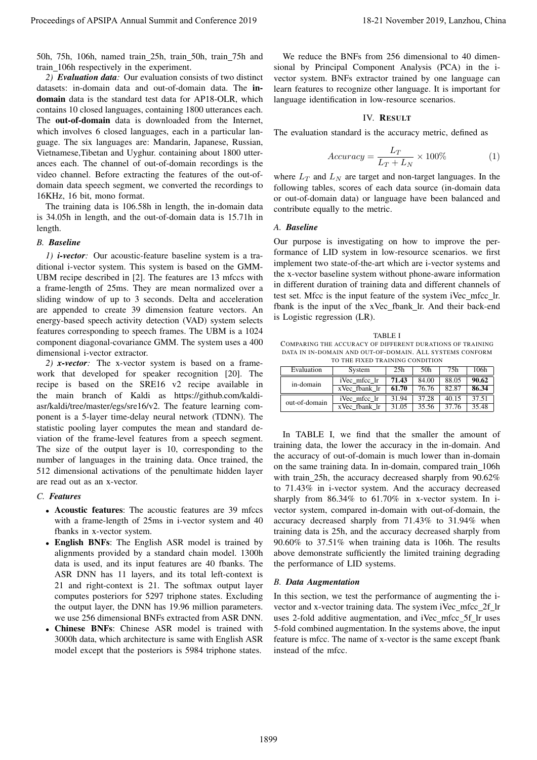50h, 75h, 106h, named train 25h, train 50h, train 75h and train 106h respectively in the experiment.

*2) Evaluation data:* Our evaluation consists of two distinct datasets: in-domain data and out-of-domain data. The indomain data is the standard test data for AP18-OLR, which contains 10 closed languages, containing 1800 utterances each. The out-of-domain data is downloaded from the Internet, which involves 6 closed languages, each in a particular language. The six languages are: Mandarin, Japanese, Russian, Vietnamese,Tibetan and Uyghur. containing about 1800 utterances each. The channel of out-of-domain recordings is the video channel. Before extracting the features of the out-ofdomain data speech segment, we converted the recordings to 16KHz, 16 bit, mono format.

The training data is 106.58h in length, the in-domain data is 34.05h in length, and the out-of-domain data is 15.71h in length.

## *B. Baseline*

*1) i-vector:* Our acoustic-feature baseline system is a traditional i-vector system. This system is based on the GMM-UBM recipe described in [2]. The features are 13 mfccs with a frame-length of 25ms. They are mean normalized over a sliding window of up to 3 seconds. Delta and acceleration are appended to create 39 dimension feature vectors. An energy-based speech activity detection (VAD) system selects features corresponding to speech frames. The UBM is a 1024 component diagonal-covariance GMM. The system uses a 400 dimensional i-vector extractor.

*2) x-vector:* The x-vector system is based on a framework that developed for speaker recognition [20]. The recipe is based on the SRE16 v2 recipe available in the main branch of Kaldi as https://github.com/kaldiasr/kaldi/tree/master/egs/sre16/v2. The feature learning component is a 5-layer time-delay neural network (TDNN). The statistic pooling layer computes the mean and standard deviation of the frame-level features from a speech segment. The size of the output layer is 10, corresponding to the number of languages in the training data. Once trained, the 512 dimensional activations of the penultimate hidden layer are read out as an x-vector.

#### *C. Features*

- Acoustic features: The acoustic features are 39 mfccs with a frame-length of 25ms in i-vector system and 40 fbanks in x-vector system.
- English BNFs: The English ASR model is trained by alignments provided by a standard chain model. 1300h data is used, and its input features are 40 fbanks. The ASR DNN has 11 layers, and its total left-context is 21 and right-context is 21. The softmax output layer computes posteriors for 5297 triphone states. Excluding the output layer, the DNN has 19.96 million parameters. we use 256 dimensional BNFs extracted from ASR DNN.
- Chinese BNFs: Chinese ASR model is trained with 3000h data, which architecture is same with English ASR model except that the posteriors is 5984 triphone states.

We reduce the BNFs from 256 dimensional to 40 dimensional by Principal Component Analysis (PCA) in the ivector system. BNFs extractor trained by one language can learn features to recognize other language. It is important for language identification in low-resource scenarios.

#### IV. RESULT

The evaluation standard is the accuracy metric, defined as

$$
Accuracy = \frac{L_T}{L_T + L_N} \times 100\% \tag{1}
$$

where  $L_T$  and  $L_N$  are target and non-target languages. In the following tables, scores of each data source (in-domain data or out-of-domain data) or language have been balanced and contribute equally to the metric.

#### *A. Baseline*

Our purpose is investigating on how to improve the performance of LID system in low-resource scenarios. we first implement two state-of-the-art which are i-vector systems and the x-vector baseline system without phone-aware information in different duration of training data and different channels of test set. Mfcc is the input feature of the system iVec mfcc lr. fbank is the input of the xVec\_fbank\_lr. And their back-end is Logistic regression (LR).

TABLE I COMPARING THE ACCURACY OF DIFFERENT DURATIONS OF TRAINING DATA IN IN-DOMAIN AND OUT-OF-DOMAIN. ALL SYSTEMS CONFORM TO THE FIXED TRAINING CONDITION

| Evaluation    | System        | 25h   | 50h   | 75h   | 106h  |
|---------------|---------------|-------|-------|-------|-------|
| in-domain     | iVec mfcc lr  | 71.43 | 84.00 | 88.05 | 90.62 |
|               | xVec fbank lr | 61.70 | 76.76 | 82.87 | 86.34 |
| out-of-domain | iVec mfcc lr  | 31.94 | 37.28 | 40.15 | 37.51 |
|               | xVec fbank lr | 31.05 | 35.56 | 37.76 | 35.48 |

In TABLE I, we find that the smaller the amount of training data, the lower the accuracy in the in-domain. And the accuracy of out-of-domain is much lower than in-domain on the same training data. In in-domain, compared train\_106h with train 25h, the accuracy decreased sharply from 90.62% to 71.43% in i-vector system. And the accuracy decreased sharply from 86.34% to 61.70% in x-vector system. In ivector system, compared in-domain with out-of-domain, the accuracy decreased sharply from 71.43% to 31.94% when training data is 25h, and the accuracy decreased sharply from 90.60% to 37.51% when training data is 106h. The results above demonstrate sufficiently the limited training degrading the performance of LID systems. Proceedings of APSIPA Annual Summit and Conference 2019<br>
Victoria de La Summit annual Summit annual Summit and Conference 2019 18-21 November 2019 18-21 November 2019<br>
The CONFERENCE Conference 2019 18-21 November 2019 18

#### *B. Data Augmentation*

In this section, we test the performance of augmenting the ivector and x-vector training data. The system iVec\_mfcc\_2f\_lr uses 2-fold additive augmentation, and iVec mfcc 5f lr uses 5-fold combined augmentation. In the systems above, the input feature is mfcc. The name of x-vector is the same except fbank instead of the mfcc.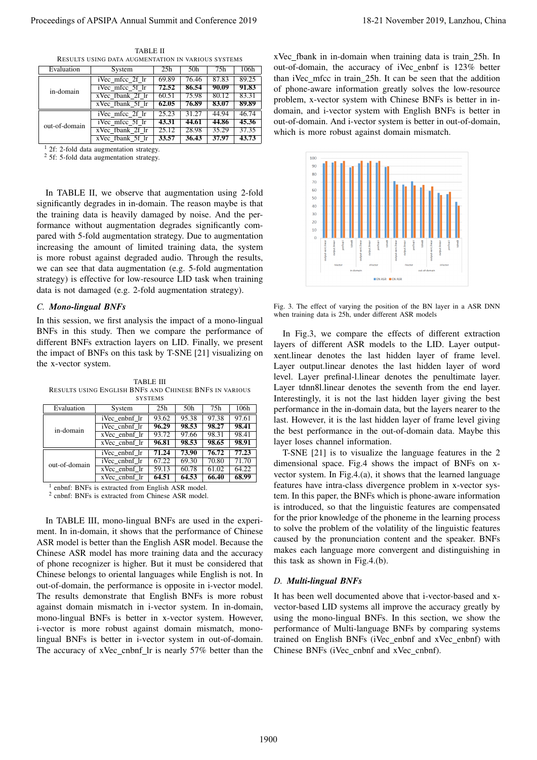| Evaluation    | System                              | 25h   | 50 <sub>h</sub> | 75h   | 106h  |
|---------------|-------------------------------------|-------|-----------------|-------|-------|
| in-domain     | iVec mfcc 2f lr                     | 69.89 | 76.46           | 87.83 | 89.25 |
|               | iVec mfcc 5f lr                     | 72.52 | 86.54           | 90.09 | 91.83 |
|               | xVec fbank 2f lr                    | 60.51 | 75.98           | 80.12 | 83.31 |
|               | xVec fbank 5f lr                    | 62.05 | 76.89           | 83.07 | 89.89 |
| out-of-domain | $\overline{i\text{Vec}}$ mfcc 2f lr | 25.23 | 31.27           | 44.94 | 46.74 |
|               | iVec mfcc 5f lr                     | 43.31 | 44.61           | 44.86 | 45.36 |
|               | xVec fbank 2f lr                    | 25.12 | 28.98           | 35.29 | 37.35 |
|               | xVec fbank 5f lr                    | 33.57 | 36.43           | 37.97 | 43.73 |

TABLE II RESULTS USING DATA AUGMENTATION IN VARIOUS SYSTEMS

2f: 2-fold data augmentation strategy.

<sup>2</sup> 5f: 5-fold data augmentation strategy.

In TABLE II, we observe that augmentation using 2-fold significantly degrades in in-domain. The reason maybe is that the training data is heavily damaged by noise. And the performance without augmentation degrades significantly compared with 5-fold augmentation strategy. Due to augmentation increasing the amount of limited training data, the system is more robust against degraded audio. Through the results, we can see that data augmentation (e.g. 5-fold augmentation strategy) is effective for low-resource LID task when training data is not damaged (e.g. 2-fold augmentation strategy).

#### *C. Mono-lingual BNFs*

In this session, we first analysis the impact of a mono-lingual BNFs in this study. Then we compare the performance of different BNFs extraction layers on LID. Finally, we present the impact of BNFs on this task by T-SNE [21] visualizing on the x-vector system.

TABLE III RESULTS USING ENGLISH BNFS AND CHINESE BNFS IN VARIOUS **SYSTEMS** 

| Evaluation    | System            | 25h   | 50h   | 75h   | 106h  |  |
|---------------|-------------------|-------|-------|-------|-------|--|
| in-domain     | iVec enbnf lr     | 93.62 | 95.38 | 97.38 | 97.61 |  |
|               | iVec cnbnf lr     | 96.29 | 98.53 | 98.27 | 98.41 |  |
|               | xVec enbnf lr     | 93.72 | 97.66 | 98.31 | 98.41 |  |
|               | xVec cnbnf lr     | 96.81 | 98.53 | 98.65 | 98.91 |  |
| out-of-domain | iVec enbnf lr     | 71.24 | 73.90 | 76.72 | 77.23 |  |
|               | iVec cnbnf lr     | 67.22 | 69.30 | 70.80 | 71.70 |  |
|               | xVec enbnf lr     | 59.13 | 60.78 | 61.02 | 64.22 |  |
|               | $xVec$ cnbnf $lr$ | 64.51 | 64.53 | 66.40 | 68.99 |  |

1 enbnf: BNFs is extracted from English ASR model.

2 cnbnf: BNFs is extracted from Chinese ASR model.

In TABLE III, mono-lingual BNFs are used in the experiment. In in-domain, it shows that the performance of Chinese ASR model is better than the English ASR model. Because the Chinese ASR model has more training data and the accuracy of phone recognizer is higher. But it must be considered that Chinese belongs to oriental languages while English is not. In out-of-domain, the performance is opposite in i-vector model. The results demonstrate that English BNFs is more robust against domain mismatch in i-vector system. In in-domain, mono-lingual BNFs is better in x-vector system. However, i-vector is more robust against domain mismatch, monolingual BNFs is better in i-vector system in out-of-domain. The accuracy of xVec\_cnbnf\_lr is nearly 57% better than the Proceeding of APSIPA Annual Summit and Conference 2019<br>
The mean of APSIPA Annual Summit and 2019, The mean of Conference 2019 in the summit and Conference 2019 in the summit and Conference 2019 in the summit and Conferen

xVec fbank in in-domain when training data is train 25h. In out-of-domain, the accuracy of iVec enbnf is 123% better than iVec mfcc in train 25h. It can be seen that the addition of phone-aware information greatly solves the low-resource problem, x-vector system with Chinese BNFs is better in indomain, and i-vector system with English BNFs is better in out-of-domain. And i-vector system is better in out-of-domain, which is more robust against domain mismatch.



Fig. 3. The effect of varying the position of the BN layer in a ASR DNN when training data is 25h, under different ASR models

In Fig.3, we compare the effects of different extraction layers of different ASR models to the LID. Layer outputxent.linear denotes the last hidden layer of frame level. Layer output.linear denotes the last hidden layer of word level. Layer prefinal-l.linear denotes the penultimate layer. Layer tdnn8l.linear denotes the seventh from the end layer. Interestingly, it is not the last hidden layer giving the best performance in the in-domain data, but the layers nearer to the last. However, it is the last hidden layer of frame level giving the best performance in the out-of-domain data. Maybe this layer loses channel information.

T-SNE [21] is to visualize the language features in the 2 dimensional space. Fig.4 shows the impact of BNFs on xvector system. In Fig.4.(a), it shows that the learned language features have intra-class divergence problem in x-vector system. In this paper, the BNFs which is phone-aware information is introduced, so that the linguistic features are compensated for the prior knowledge of the phoneme in the learning process to solve the problem of the volatility of the linguistic features caused by the pronunciation content and the speaker. BNFs makes each language more convergent and distinguishing in this task as shown in Fig.4.(b).

#### *D. Multi-lingual BNFs*

It has been well documented above that i-vector-based and xvector-based LID systems all improve the accuracy greatly by using the mono-lingual BNFs. In this section, we show the performance of Multi-language BNFs by comparing systems trained on English BNFs (iVec\_enbnf and xVec\_enbnf) with Chinese BNFs (iVec\_cnbnf and xVec\_cnbnf).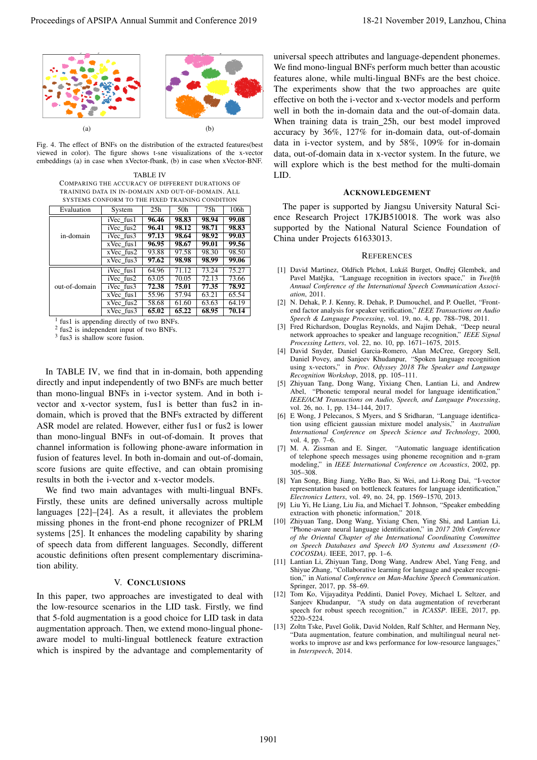

Fig. 4. The effect of BNFs on the distribution of the extracted features(best viewed in color). The figure shows t-sne visualizations of the x-vector embeddings (a) in case when xVector-fbank, (b) in case when xVector-BNF.

TABLE IV COMPARING THE ACCURACY OF DIFFERENT DURATIONS OF TRAINING DATA IN IN-DOMAIN AND OUT-OF-DOMAIN. ALL SYSTEMS CONFORM TO THE FIXED TRAINING CONDITION

| Evaluation    | System      | 25 <sub>h</sub> | 50h   | 75h   | 106h  |
|---------------|-------------|-----------------|-------|-------|-------|
| in-domain     | iVec fus1   | 96.46           | 98.83 | 98.94 | 99.08 |
|               | iVec fus2   | 96.41           | 98.12 | 98.71 | 98.83 |
|               | iVec fus3   | 97.13           | 98.64 | 98.92 | 99.03 |
|               | $xVec$ fusl | 96.95           | 98.67 | 99.01 | 99.56 |
|               | $xVec$ fus2 | 93.88           | 97.58 | 98.30 | 98.50 |
|               | xVec fus3   | 97.62           | 98.98 | 98.99 | 99.06 |
| out-of-domain | iVec fus1   | 64.96           | 71.12 | 73.24 | 75.27 |
|               | iVec fus2   | 63.05           | 70.05 | 72.13 | 73.66 |
|               | iVec fus3   | 72.38           | 75.01 | 77.35 | 78.92 |
|               | $xVec$ fusl | 55.96           | 57.94 | 63.21 | 65.54 |
|               | xVec fus2   | 58.68           | 61.60 | 63.63 | 64.19 |
|               | xVec fus3   | 65.02           | 65.22 | 68.95 | 70.14 |

<sup>1</sup> fus1 is appending directly of two BNFs.

2 fus2 is independent input of two BNFs.

3 fus3 is shallow score fusion.

In TABLE IV, we find that in in-domain, both appending directly and input independently of two BNFs are much better than mono-lingual BNFs in i-vector system. And in both ivector and x-vector system, fus1 is better than fus2 in indomain, which is proved that the BNFs extracted by different ASR model are related. However, either fus1 or fus2 is lower than mono-lingual BNFs in out-of-domain. It proves that channel information is following phone-aware information in fusion of features level. In both in-domain and out-of-domain, score fusions are quite effective, and can obtain promising results in both the i-vector and x-vector models.

We find two main advantages with multi-lingual BNFs. Firstly, these units are defined universally across multiple languages [22]–[24]. As a result, it alleviates the problem missing phones in the front-end phone recognizer of PRLM systems [25]. It enhances the modeling capability by sharing of speech data from different languages. Secondly, different acoustic definitions often present complementary discrimination ability.

### V. CONCLUSIONS

In this paper, two approaches are investigated to deal with the low-resource scenarios in the LID task. Firstly, we find that 5-fold augmentation is a good choice for LID task in data augmentation approach. Then, we extend mono-lingual phoneaware model to multi-lingual bottleneck feature extraction which is inspired by the advantage and complementarity of

universal speech attributes and language-dependent phonemes. We find mono-lingual BNFs perform much better than acoustic features alone, while multi-lingual BNFs are the best choice. The experiments show that the two approaches are quite effective on both the i-vector and x-vector models and perform well in both the in-domain data and the out-of-domain data. When training data is train 25h, our best model improved accuracy by 36%, 127% for in-domain data, out-of-domain data in i-vector system, and by 58%, 109% for in-domain data, out-of-domain data in x-vector system. In the future, we will explore which is the best method for the multi-domain LID. **Proceedings of APSIPA Annual Summit and Conference 2019**<br>  $\frac{1}{2} \sum_{n=1}^{\infty} \sum_{n=1}^{\infty} \sum_{n=1}^{\infty} \sum_{n=1}^{\infty} \sum_{n=1}^{\infty} \sum_{n=1}^{\infty} \sum_{n=1}^{\infty} \sum_{n=1}^{\infty} \sum_{n=1}^{\infty} \sum_{n=1}^{\infty} \sum_{n=1}^{\infty} \sum_{n=1}^{\infty} \sum_{n=1}^{\in$ 

#### ACKNOWLEDGEMENT

The paper is supported by Jiangsu University Natural Science Research Project 17KJB510018. The work was also supported by the National Natural Science Foundation of China under Projects 61633013.

#### **REFERENCES**

- [1] David Martinez, Oldřich Plchot, Lukáš Burget, Ondřej Glembek, and Pavel Matějka, "Language recognition in ivectors space," in Twelfth *Annual Conference of the International Speech Communication Association*, 2011.
- [2] N. Dehak, P. J. Kenny, R. Dehak, P. Dumouchel, and P. Ouellet, "Frontend factor analysis for speaker verification," *IEEE Transactions on Audio Speech & Language Processing*, vol. 19, no. 4, pp. 788–798, 2011.
- [3] Fred Richardson, Douglas Reynolds, and Najim Dehak, "Deep neural network approaches to speaker and language recognition," *IEEE Signal Processing Letters*, vol. 22, no. 10, pp. 1671–1675, 2015.
- [4] David Snyder, Daniel Garcia-Romero, Alan McCree, Gregory Sell, Daniel Povey, and Sanjeev Khudanpur, "Spoken language recognition using x-vectors," in *Proc. Odyssey 2018 The Speaker and Language Recognition Workshop*, 2018, pp. 105–111.
- [5] Zhiyuan Tang, Dong Wang, Yixiang Chen, Lantian Li, and Andrew Abel, "Phonetic temporal neural model for language identification," *IEEE/ACM Transactions on Audio, Speech, and Language Processing*, vol. 26, no. 1, pp. 134–144, 2017.
- [6] E Wong, J Pelecanos, S Myers, and S Sridharan, "Language identification using efficient gaussian mixture model analysis," in *Australian International Conference on Speech Science and Technology*, 2000, vol. 4, pp. 7–6.
- [7] M. A. Zissman and E. Singer, "Automatic language identification of telephone speech messages using phoneme recognition and n-gram modeling," in *IEEE International Conference on Acoustics*, 2002, pp. 305–308.
- [8] Yan Song, Bing Jiang, YeBo Bao, Si Wei, and Li-Rong Dai, "I-vector representation based on bottleneck features for language identification," *Electronics Letters*, vol. 49, no. 24, pp. 1569–1570, 2013.
- [9] Liu Yi, He Liang, Liu Jia, and Michael T. Johnson, "Speaker embedding extraction with phonetic information," 2018.
- [10] Zhiyuan Tang, Dong Wang, Yixiang Chen, Ying Shi, and Lantian Li, "Phone-aware neural language identification," in *2017 20th Conference of the Oriental Chapter of the International Coordinating Committee on Speech Databases and Speech I/O Systems and Assessment (O-COCOSDA)*. IEEE, 2017, pp. 1–6.
- [11] Lantian Li, Zhiyuan Tang, Dong Wang, Andrew Abel, Yang Feng, and Shiyue Zhang, "Collaborative learning for language and speaker recognition," in *National Conference on Man-Machine Speech Communication*. Springer, 2017, pp. 58–69.
- [12] Tom Ko, Vijayaditya Peddinti, Daniel Povey, Michael L Seltzer, and Sanjeev Khudanpur, "A study on data augmentation of reverberant speech for robust speech recognition," in *ICASSP*. IEEE, 2017, pp. 5220–5224.
- [13] Zoltn Tske, Pavel Golik, David Nolden, Ralf Schlter, and Hermann Ney, "Data augmentation, feature combination, and multilingual neural networks to improve asr and kws performance for low-resource languages," in *Interspeech*, 2014.